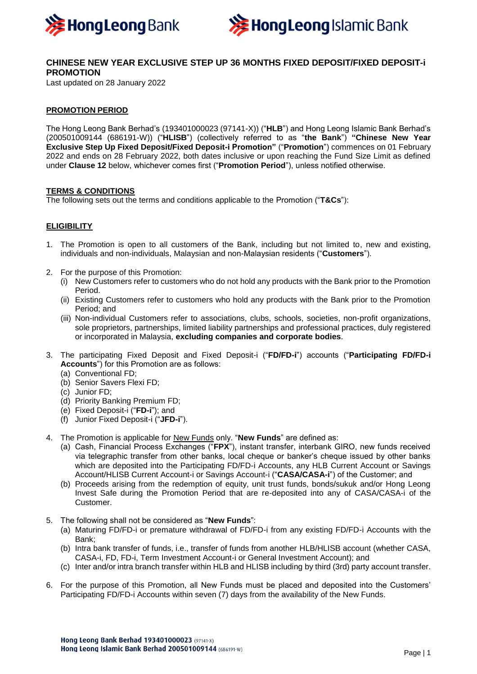



# **CHINESE NEW YEAR EXCLUSIVE STEP UP 36 MONTHS FIXED DEPOSIT/FIXED DEPOSIT-i PROMOTION**

Last updated on 28 January 2022

## **PROMOTION PERIOD**

The Hong Leong Bank Berhad's (193401000023 (97141-X)) ("**HLB**") and Hong Leong Islamic Bank Berhad's (200501009144 (686191-W)) ("**HLISB**") (collectively referred to as "**the Bank**") **"Chinese New Year Exclusive Step Up Fixed Deposit/Fixed Deposit-i Promotion"** ("**Promotion**") commences on 01 February 2022 and ends on 28 February 2022, both dates inclusive or upon reaching the Fund Size Limit as defined under **Clause 12** below, whichever comes first ("**Promotion Period**"), unless notified otherwise.

#### **TERMS & CONDITIONS**

The following sets out the terms and conditions applicable to the Promotion ("**T&Cs**"):

### **ELIGIBILITY**

- 1. The Promotion is open to all customers of the Bank, including but not limited to, new and existing, individuals and non-individuals, Malaysian and non-Malaysian residents ("**Customers**").
- 2. For the purpose of this Promotion:
	- (i) New Customers refer to customers who do not hold any products with the Bank prior to the Promotion Period.
	- (ii) Existing Customers refer to customers who hold any products with the Bank prior to the Promotion Period; and
	- (iii) Non-individual Customers refer to associations, clubs, schools, societies, non-profit organizations, sole proprietors, partnerships, limited liability partnerships and professional practices, duly registered or incorporated in Malaysia, **excluding companies and corporate bodies**.
- 3. The participating Fixed Deposit and Fixed Deposit-i ("**FD/FD-i**") accounts ("**Participating FD/FD-i Accounts**") for this Promotion are as follows:
	- (a) Conventional FD;
	- (b) Senior Savers Flexi FD;
	- (c) Junior FD;
	- (d) Priority Banking Premium FD;
	- (e) Fixed Deposit-i ("**FD-i**"); and
	- (f) Junior Fixed Deposit-i ("**JFD-i**").
- 4. The Promotion is applicable for New Funds only. "**New Funds**" are defined as:
	- (a) Cash, Financial Process Exchanges ("**FPX**"), instant transfer, interbank GIRO, new funds received via telegraphic transfer from other banks, local cheque or banker's cheque issued by other banks which are deposited into the Participating FD/FD-i Accounts, any HLB Current Account or Savings Account/HLISB Current Account-i or Savings Account-i ("**CASA/CASA-i**") of the Customer; and
	- (b) Proceeds arising from the redemption of equity, unit trust funds, bonds/sukuk and/or Hong Leong Invest Safe during the Promotion Period that are re-deposited into any of CASA/CASA-i of the Customer.
- 5. The following shall not be considered as "**New Funds**":
	- (a) Maturing FD/FD-i or premature withdrawal of FD/FD-i from any existing FD/FD-i Accounts with the Bank;
	- (b) Intra bank transfer of funds, i.e., transfer of funds from another HLB/HLISB account (whether CASA, CASA-i, FD, FD-i, Term Investment Account-i or General Investment Account); and
	- (c) Inter and/or intra branch transfer within HLB and HLISB including by third (3rd) party account transfer.
- 6. For the purpose of this Promotion, all New Funds must be placed and deposited into the Customers' Participating FD/FD-i Accounts within seven (7) days from the availability of the New Funds.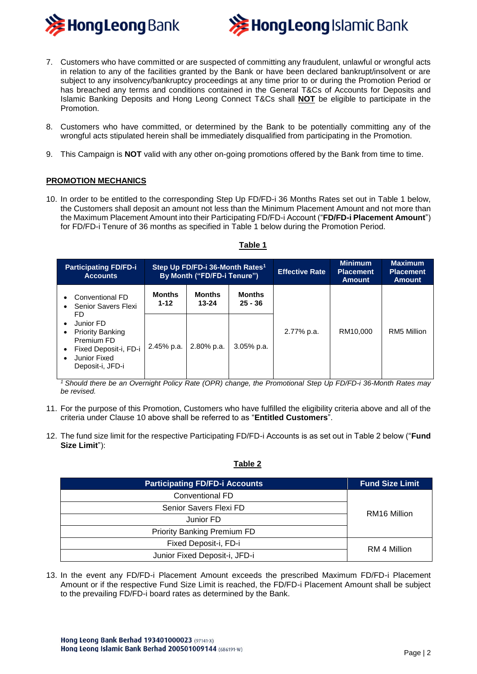



- 7. Customers who have committed or are suspected of committing any fraudulent, unlawful or wrongful acts in relation to any of the facilities granted by the Bank or have been declared bankrupt/insolvent or are subject to any insolvency/bankruptcy proceedings at any time prior to or during the Promotion Period or has breached any terms and conditions contained in the General T&Cs of Accounts for Deposits and Islamic Banking Deposits and Hong Leong Connect T&Cs shall **NOT** be eligible to participate in the Promotion.
- 8. Customers who have committed, or determined by the Bank to be potentially committing any of the wrongful acts stipulated herein shall be immediately disqualified from participating in the Promotion.
- 9. This Campaign is **NOT** valid with any other on-going promotions offered by the Bank from time to time.

### **PROMOTION MECHANICS**

10. In order to be entitled to the corresponding Step Up FD/FD-i 36 Months Rates set out in Table 1 below, the Customers shall deposit an amount not less than the Minimum Placement Amount and not more than the Maximum Placement Amount into their Participating FD/FD-i Account ("**FD/FD-i Placement Amount**") for FD/FD-i Tenure of 36 months as specified in Table 1 below during the Promotion Period.

| <b>Participating FD/FD-i</b><br><b>Accounts</b>                                                                                                                                                                                                | Step Up FD/FD-i 36-Month Rates <sup>1</sup><br>By Month ("FD/FD-i Tenure") |                            |                            | <b>Effective Rate</b> | <b>Minimum</b><br><b>Placement</b><br><b>Amount</b> | <b>Maximum</b><br><b>Placement</b><br><b>Amount</b> |
|------------------------------------------------------------------------------------------------------------------------------------------------------------------------------------------------------------------------------------------------|----------------------------------------------------------------------------|----------------------------|----------------------------|-----------------------|-----------------------------------------------------|-----------------------------------------------------|
| Conventional FD<br>$\bullet$<br>Senior Savers Flexi<br>$\bullet$<br>FD.<br>Junior FD<br>$\bullet$<br><b>Priority Banking</b><br>$\bullet$<br>Premium FD<br>Fixed Deposit-i, FD-i<br>$\bullet$<br>Junior Fixed<br>$\bullet$<br>Deposit-i, JFD-i | <b>Months</b><br>$1 - 12$                                                  | <b>Months</b><br>$13 - 24$ | <b>Months</b><br>$25 - 36$ | 2.77% p.a.            | RM10.000                                            | RM5 Million                                         |
|                                                                                                                                                                                                                                                | 2.45% p.a.                                                                 | $2.80\%$ p.a.              | $3.05\%$ p.a.              |                       |                                                     |                                                     |

#### **Table 1**

*<sup>1</sup>Should there be an Overnight Policy Rate (OPR) change, the Promotional Step Up FD/FD-i 36-Month Rates may be revised.*

- 11. For the purpose of this Promotion, Customers who have fulfilled the eligibility criteria above and all of the criteria under Clause 10 above shall be referred to as "**Entitled Customers**".
- 12. The fund size limit for the respective Participating FD/FD-i Accounts is as set out in Table 2 below ("**Fund Size Limit**"):

# **Table 2**

| <b>Participating FD/FD-i Accounts</b> | <b>Fund Size Limit</b> |  |
|---------------------------------------|------------------------|--|
| Conventional FD                       | RM16 Million           |  |
| Senior Savers Flexi FD                |                        |  |
| Junior FD                             |                        |  |
| <b>Priority Banking Premium FD</b>    |                        |  |
| Fixed Deposit-i, FD-i                 | RM 4 Million           |  |
| Junior Fixed Deposit-i, JFD-i         |                        |  |

13. In the event any FD/FD-i Placement Amount exceeds the prescribed Maximum FD/FD-i Placement Amount or if the respective Fund Size Limit is reached, the FD/FD-i Placement Amount shall be subject to the prevailing FD/FD-i board rates as determined by the Bank.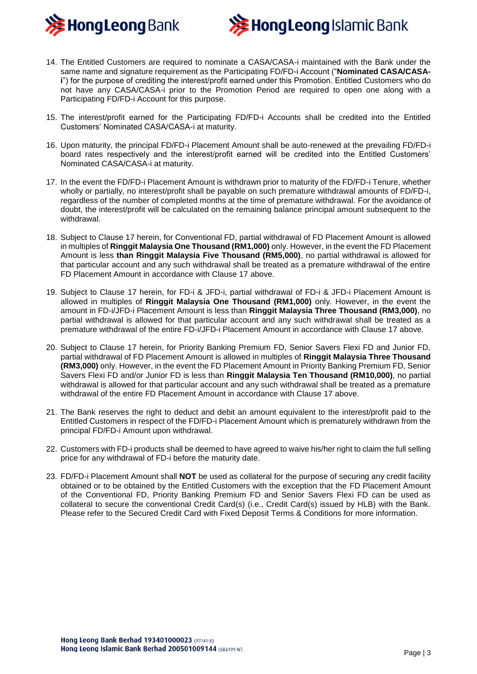



- 14. The Entitled Customers are required to nominate a CASA/CASA-i maintained with the Bank under the same name and signature requirement as the Participating FD/FD-i Account ("**Nominated CASA/CASAi**") for the purpose of crediting the interest/profit earned under this Promotion. Entitled Customers who do not have any CASA/CASA-i prior to the Promotion Period are required to open one along with a Participating FD/FD-i Account for this purpose.
- 15. The interest/profit earned for the Participating FD/FD-i Accounts shall be credited into the Entitled Customers' Nominated CASA/CASA-i at maturity.
- 16. Upon maturity, the principal FD/FD-i Placement Amount shall be auto-renewed at the prevailing FD/FD-i board rates respectively and the interest/profit earned will be credited into the Entitled Customers' Nominated CASA/CASA-i at maturity.
- 17. In the event the FD/FD-i Placement Amount is withdrawn prior to maturity of the FD/FD-i Tenure, whether wholly or partially, no interest/profit shall be payable on such premature withdrawal amounts of FD/FD-i, regardless of the number of completed months at the time of premature withdrawal. For the avoidance of doubt, the interest/profit will be calculated on the remaining balance principal amount subsequent to the withdrawal.
- 18. Subject to Clause 17 herein, for Conventional FD, partial withdrawal of FD Placement Amount is allowed in multiples of **Ringgit Malaysia One Thousand (RM1,000)** only. However, in the event the FD Placement Amount is less **than Ringgit Malaysia Five Thousand (RM5,000)**, no partial withdrawal is allowed for that particular account and any such withdrawal shall be treated as a premature withdrawal of the entire FD Placement Amount in accordance with Clause 17 above.
- 19. Subject to Clause 17 herein, for FD-i & JFD-i, partial withdrawal of FD-i & JFD-i Placement Amount is allowed in multiples of **Ringgit Malaysia One Thousand (RM1,000)** only. However, in the event the amount in FD-i/JFD-i Placement Amount is less than **Ringgit Malaysia Three Thousand (RM3,000)**, no partial withdrawal is allowed for that particular account and any such withdrawal shall be treated as a premature withdrawal of the entire FD-i/JFD-i Placement Amount in accordance with Clause 17 above.
- 20. Subject to Clause 17 herein, for Priority Banking Premium FD, Senior Savers Flexi FD and Junior FD, partial withdrawal of FD Placement Amount is allowed in multiples of **Ringgit Malaysia Three Thousand (RM3,000)** only. However, in the event the FD Placement Amount in Priority Banking Premium FD, Senior Savers Flexi FD and/or Junior FD is less than **Ringgit Malaysia Ten Thousand (RM10,000)**, no partial withdrawal is allowed for that particular account and any such withdrawal shall be treated as a premature withdrawal of the entire FD Placement Amount in accordance with Clause 17 above.
- 21. The Bank reserves the right to deduct and debit an amount equivalent to the interest/profit paid to the Entitled Customers in respect of the FD/FD-i Placement Amount which is prematurely withdrawn from the principal FD/FD-i Amount upon withdrawal.
- 22. Customers with FD-i products shall be deemed to have agreed to waive his/her right to claim the full selling price for any withdrawal of FD-i before the maturity date.
- 23. FD/FD-i Placement Amount shall **NOT** be used as collateral for the purpose of securing any credit facility obtained or to be obtained by the Entitled Customers with the exception that the FD Placement Amount of the Conventional FD, Priority Banking Premium FD and Senior Savers Flexi FD can be used as collateral to secure the conventional Credit Card(s) (i.e., Credit Card(s) issued by HLB) with the Bank. Please refer to the Secured Credit Card with Fixed Deposit Terms & Conditions for more information.